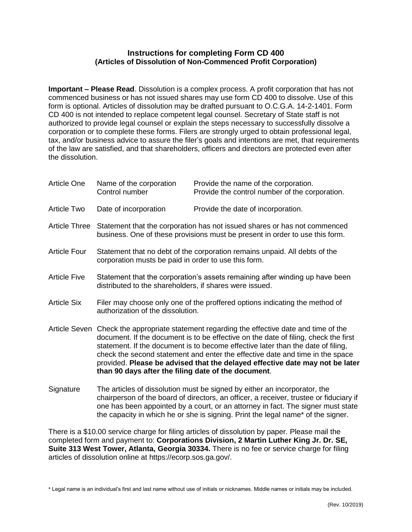## **Instructions for completing Form CD 400 (Articles of Dissolution of Non-Commenced Profit Corporation)**

**Important – Please Read**. Dissolution is a complex process. A profit corporation that has not commenced business or has not issued shares may use form CD 400 to dissolve. Use of this form is optional. Articles of dissolution may be drafted pursuant to O.C.G.A. 14-2-1401. Form CD 400 is not intended to replace competent legal counsel. Secretary of State staff is not authorized to provide legal counsel or explain the steps necessary to successfully dissolve a corporation or to complete these forms. Filers are strongly urged to obtain professional legal, tax, and/or business advice to assure the filer's goals and intentions are met, that requirements of the law are satisfied, and that shareholders, officers and directors are protected even after the dissolution.

| <b>Article One</b>   | Name of the corporation<br>Control number                                                                                                                                                                                                                                                                                                                                                                                                                                                     | Provide the name of the corporation.<br>Provide the control number of the corporation. |
|----------------------|-----------------------------------------------------------------------------------------------------------------------------------------------------------------------------------------------------------------------------------------------------------------------------------------------------------------------------------------------------------------------------------------------------------------------------------------------------------------------------------------------|----------------------------------------------------------------------------------------|
| Article Two          | Date of incorporation                                                                                                                                                                                                                                                                                                                                                                                                                                                                         | Provide the date of incorporation.                                                     |
| <b>Article Three</b> | Statement that the corporation has not issued shares or has not commenced<br>business. One of these provisions must be present in order to use this form.                                                                                                                                                                                                                                                                                                                                     |                                                                                        |
| <b>Article Four</b>  | Statement that no debt of the corporation remains unpaid. All debts of the<br>corporation musts be paid in order to use this form.                                                                                                                                                                                                                                                                                                                                                            |                                                                                        |
| <b>Article Five</b>  | Statement that the corporation's assets remaining after winding up have been<br>distributed to the shareholders, if shares were issued.                                                                                                                                                                                                                                                                                                                                                       |                                                                                        |
| <b>Article Six</b>   | Filer may choose only one of the proffered options indicating the method of<br>authorization of the dissolution.                                                                                                                                                                                                                                                                                                                                                                              |                                                                                        |
|                      | Article Seven Check the appropriate statement regarding the effective date and time of the<br>document. If the document is to be effective on the date of filing, check the first<br>statement. If the document is to become effective later than the date of filing,<br>check the second statement and enter the effective date and time in the space<br>provided. Please be advised that the delayed effective date may not be later<br>than 90 days after the filing date of the document. |                                                                                        |
| Signature            | The articles of dissolution must be signed by either an incorporator, the<br>chairperson of the board of directors, an officer, a receiver, trustee or fiduciary if<br>one has been appointed by a court, or an attorney in fact. The signer must state                                                                                                                                                                                                                                       |                                                                                        |

There is a \$10.00 service charge for filing articles of dissolution by paper. Please mail the completed form and payment to: **Corporations Division, 2 Martin Luther King Jr. Dr. SE, Suite 313 West Tower, Atlanta, Georgia 30334.** There is no fee or service charge for filing articles of dissolution online at https://ecorp.sos.ga.gov/.

the capacity in which he or she is signing. Print the legal name\* of the signer.

\* Legal name is an individual's first and last name without use of initials or nicknames. Middle names or initials may be included.